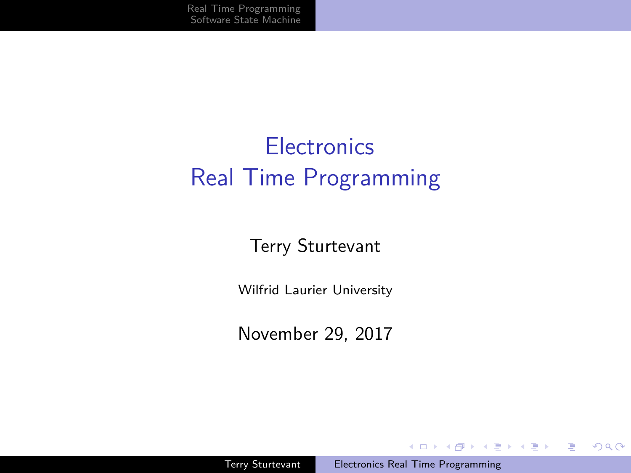# <span id="page-0-0"></span>**Electronics** Real Time Programming

### Terry Sturtevant

Wilfrid Laurier University

November 29, 2017

イロト イ押 トイヨ トイヨ トー

 $QQ$ 

э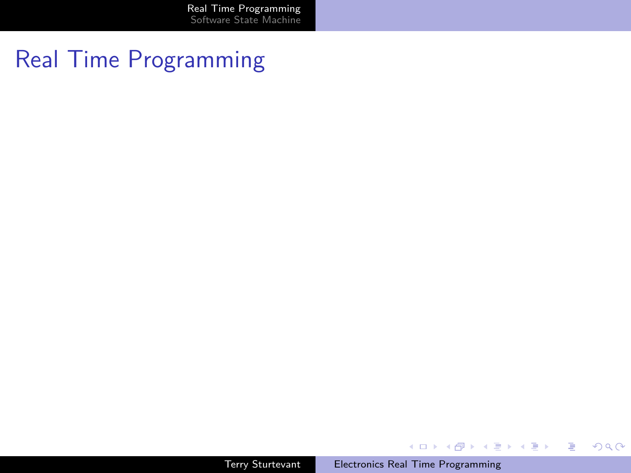[Real Time Programming](#page-1-0) [Software State Machine](#page-18-0)

## <span id="page-1-0"></span>Real Time Programming

Terry Sturtevant [Electronics Real Time Programming](#page-0-0)

イロト イ団 トイ ヨト イヨト

目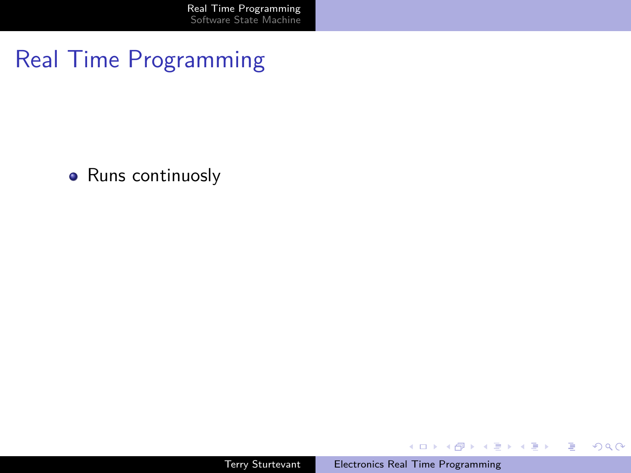• Runs continuosly

イロン イ団 メイモン イモン

目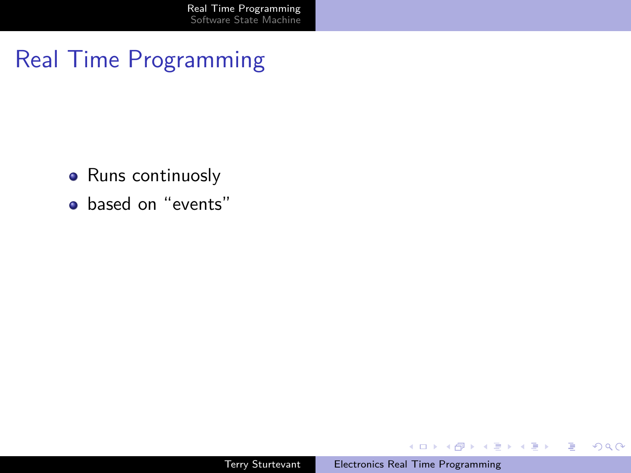- Runs continuosly
- based on "events"

**K ロ ▶ K 御 ▶ K 君 ▶ K 君 ▶** 

 $\equiv$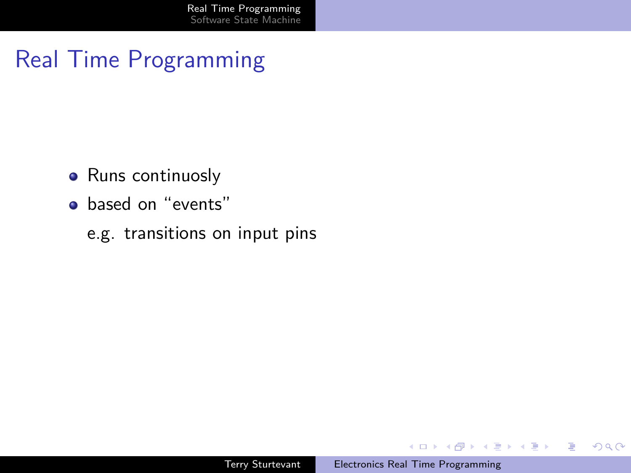- Runs continuosly
- **o** based on "events"
	- e.g. transitions on input pins

イロト イ押 トイヨ トイヨト

E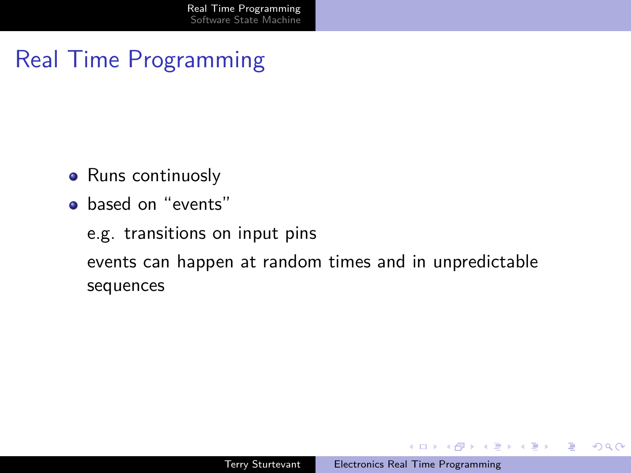- Runs continuosly
- based on "events"

e.g. transitions on input pins events can happen at random times and in unpredictable

sequences

イロト イ押 トイヨ トイヨ トー

 $2990$ 

э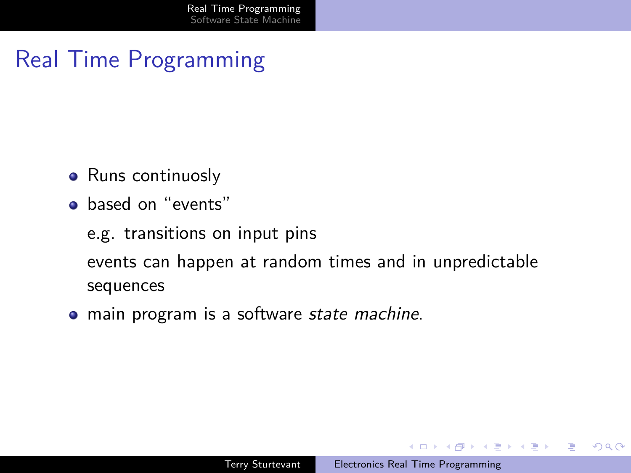- Runs continuosly
- **o** based on "events"
	- e.g. transitions on input pins
	- events can happen at random times and in unpredictable sequences
- main program is a software *state machine*.

イロト イ押 トイヨ トイヨ トー

э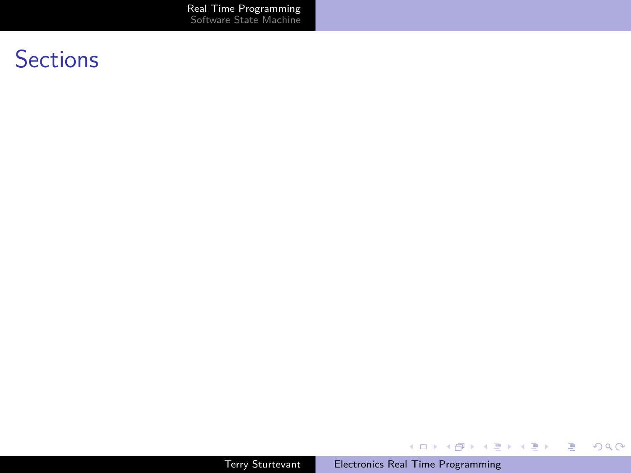[Real Time Programming](#page-1-0) [Software State Machine](#page-18-0)

## **Sections**

Terry Sturtevant [Electronics Real Time Programming](#page-0-0)

メロトメ 御 トメ ミトメ ミト

活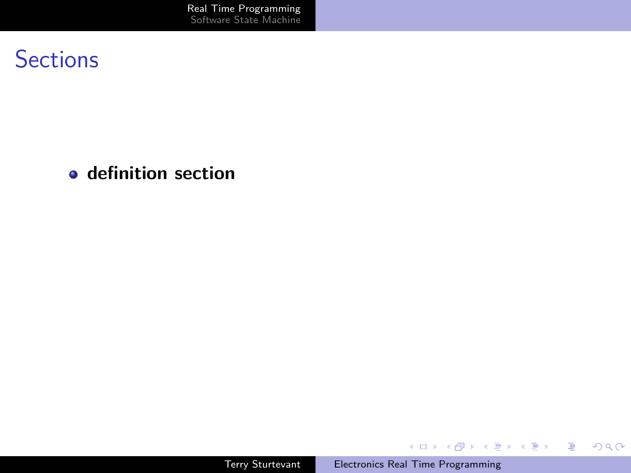[Real Time Programming](#page-1-0) [Software State Machine](#page-18-0)

## **Sections**

### **definition section**

Terry Sturtevant [Electronics Real Time Programming](#page-0-0)

イロメ イ団メ イモメ イモメー

活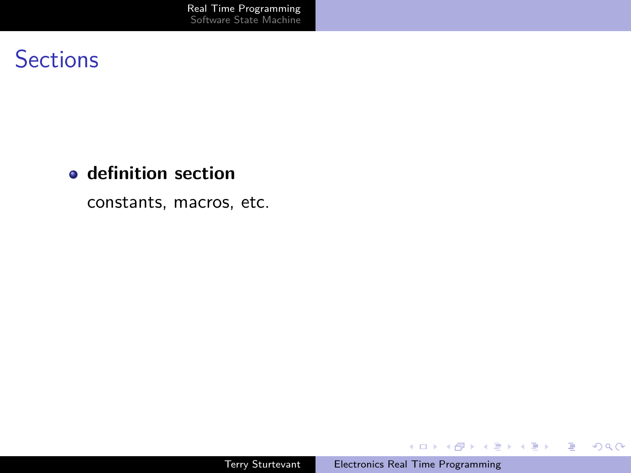#### **definition section**

constants, macros, etc.

Terry Sturtevant [Electronics Real Time Programming](#page-0-0)

イロメ イ団メ イミメ イモメー

目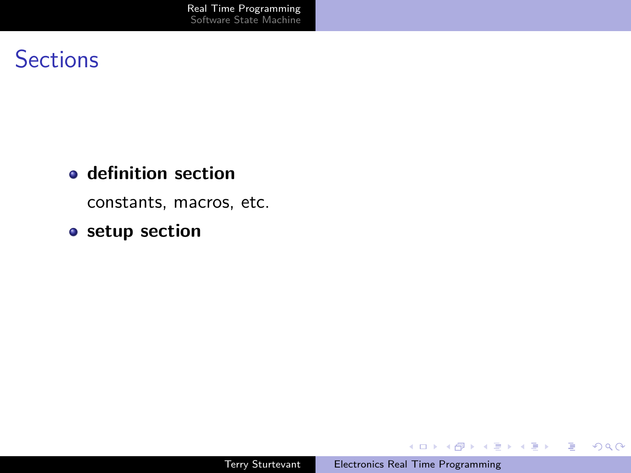#### **definition section**

constants, macros, etc.

### **setup section**

イロメ イ団メ イミメ イモメー

目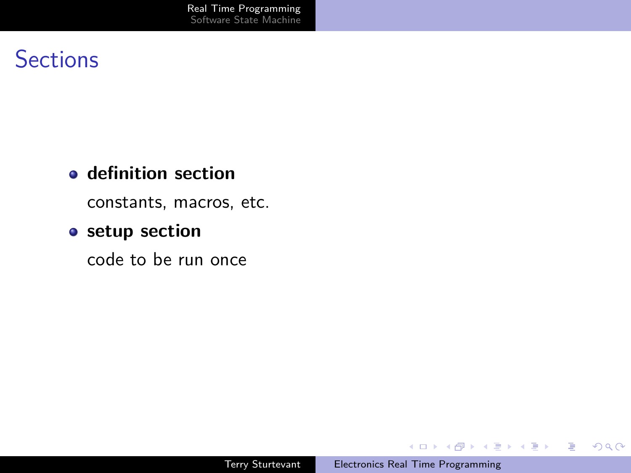#### **definition section**

constants, macros, etc.

### **setup section**

code to be run once

**K ロ ▶ K 御 ▶ K 君 ▶ K 君 ▶** 

 $\equiv$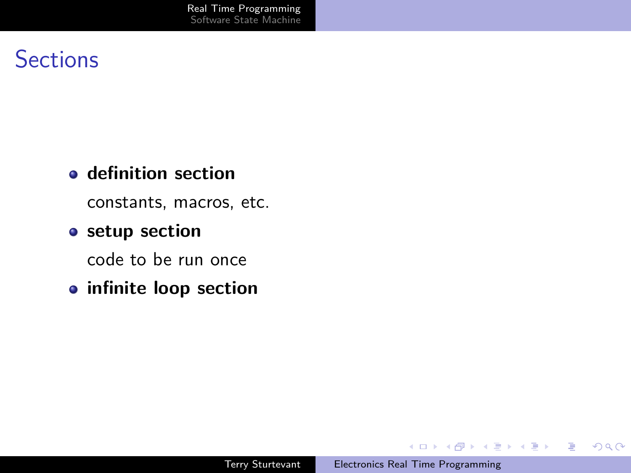#### **definition section**

constants, macros, etc.

#### **setup section**

code to be run once

**infinite loop section**

イロト イ押 トイヨ トイヨト

E

 $QQ$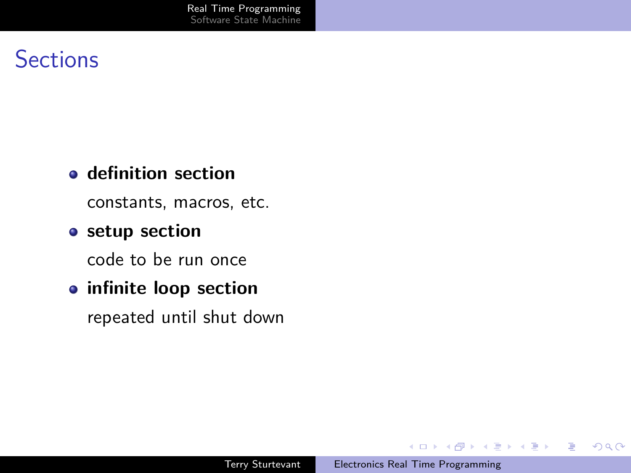#### **definition section**

constants, macros, etc.

#### **setup section**

code to be run once

#### **infinite loop section**

repeated until shut down

イロト イ押 トイヨ トイヨト

E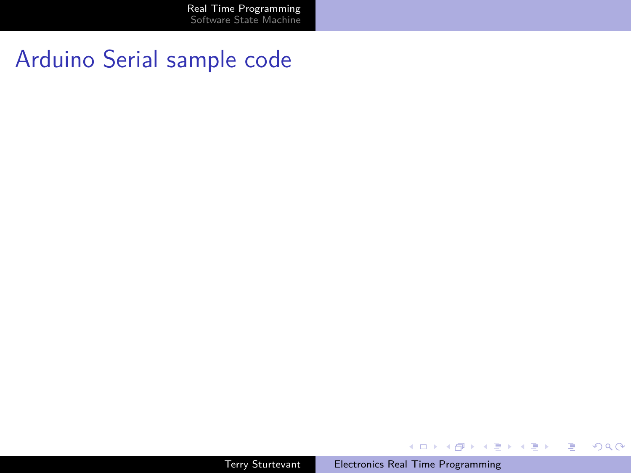[Real Time Programming](#page-1-0) [Software State Machine](#page-18-0)

## Arduino Serial sample code

Terry Sturtevant [Electronics Real Time Programming](#page-0-0)

イロン イ団 メイモン イモン

目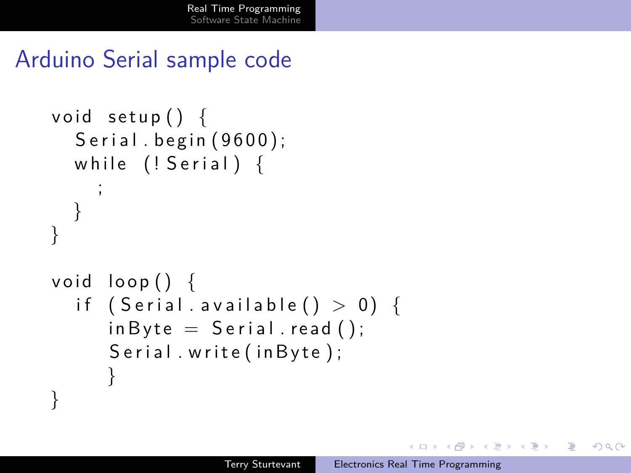## Arduino Serial sample code

```
void setup() \{Serial. begin (9600);
  while (! Serial) {
    ;
  }
}
void loop() {
  if (Serial. available () > 0) {
     inByte = Serial.read();
     Serial . write (in Byte);
      }
}
```
( 何 → ( 三 ) ( 三 ) (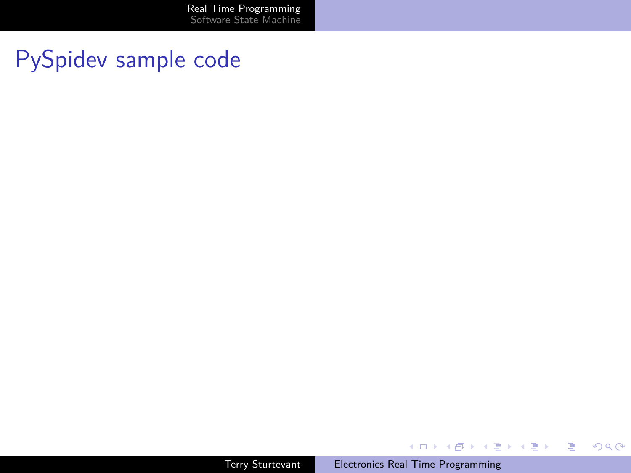## PySpidev sample code

イロメ イ団メ イミメ イモメー

目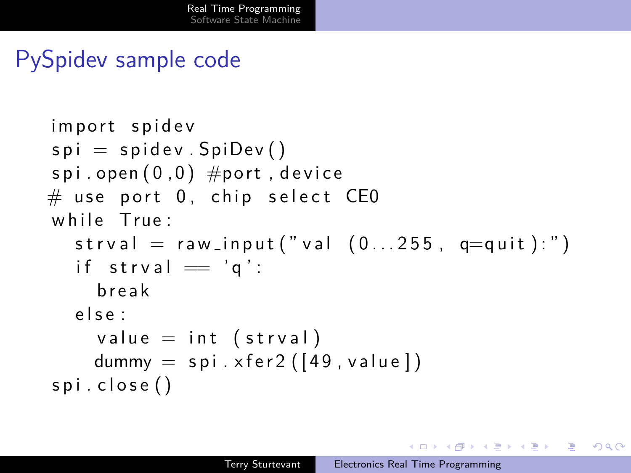## PySpidev sample code

```
im port spidev
spi = spidev . SpiDev()spi.open(0,0) #port, device
\# use port 0, chip select CE0
while True:
  strval = raw_{input}("val (0...255, q=quit):")
  if strval = 'q':
     b r e ak
  e l s e :
     value = int (strval)
    dummy = \text{spin} \times \text{fer2} ([49, value])
spi.close()
```
イロン イ何ン イヨン イヨン 一重

ാഹ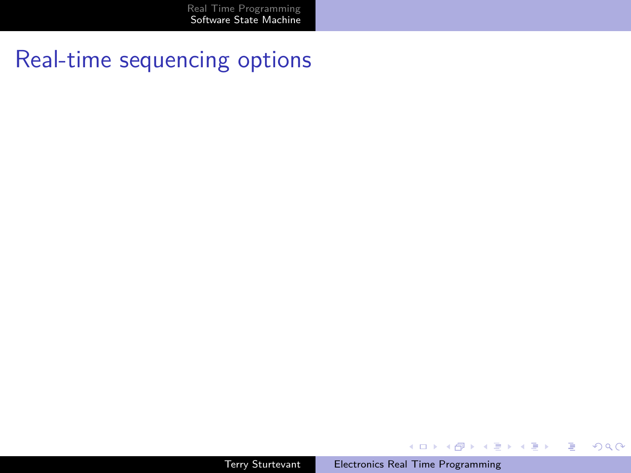[Real Time Programming](#page-1-0) [Software State Machine](#page-18-0)

## <span id="page-18-0"></span>Real-time sequencing options

Terry Sturtevant [Electronics Real Time Programming](#page-0-0)

**K ロ ▶ K 御 ▶ K 君 ▶ K 君 ▶** 

目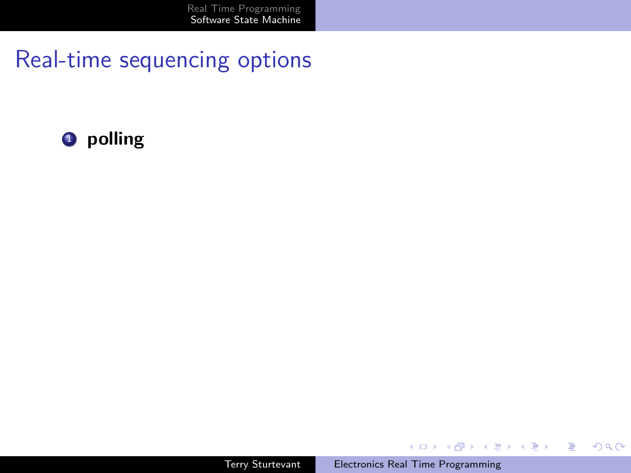

**K ロ ▶ K 御 ▶ K 君 ▶ K 君 ▶** 

目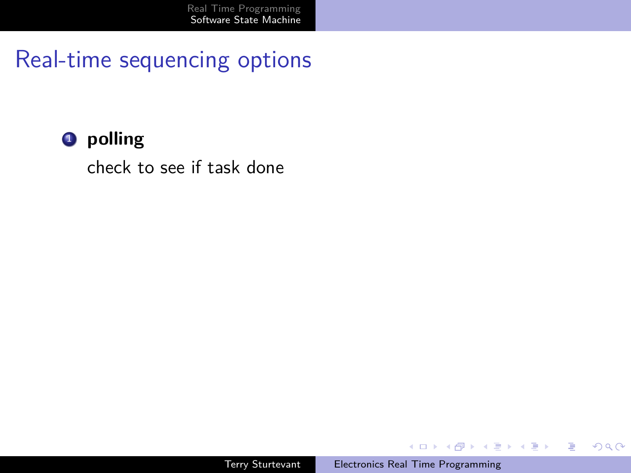#### **1** polling

check to see if task done

イロト イ押 トイヨ トイヨト

E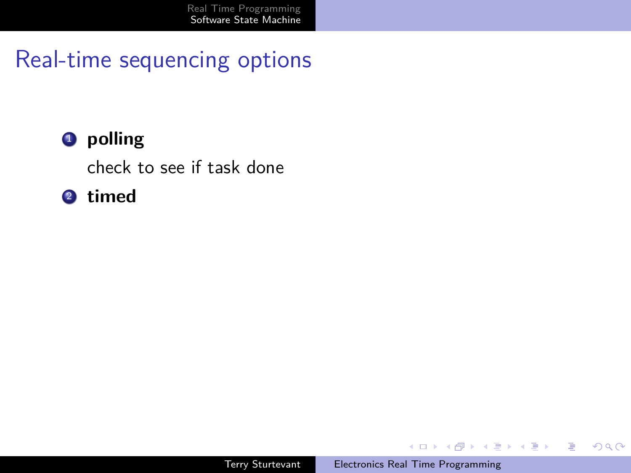### **1** polling

check to see if task done

### <sup>2</sup> **timed**

Terry Sturtevant [Electronics Real Time Programming](#page-0-0)

イロト イ押 トイヨ トイヨト

E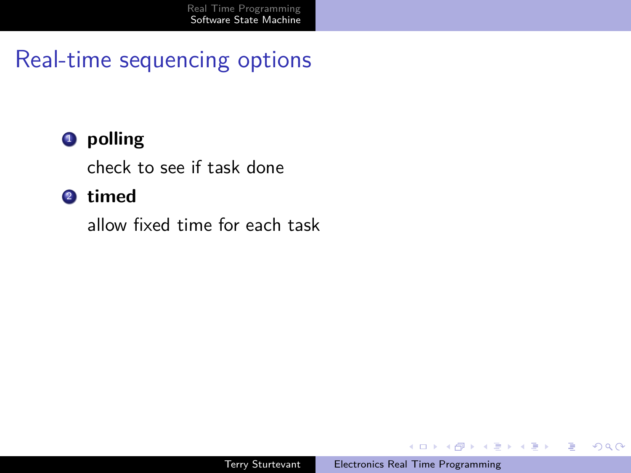### **4** polling

check to see if task done

#### <sup>2</sup> **timed**

allow fixed time for each task

イロト イ押 トイヨ トイヨト

E

 $QQ$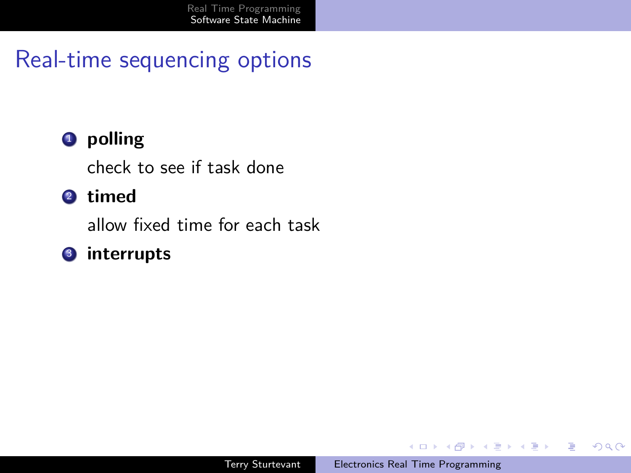### **4** polling

check to see if task done

#### <sup>2</sup> **timed**

allow fixed time for each task

#### <sup>3</sup> **interrupts**

 $\mathbf{A} \equiv \mathbf{A} + \mathbf{A} \pmod{2} \mathbf{A} + \mathbf{A} \equiv \mathbf{A} + \mathbf{A} \equiv \mathbf{A} + \mathbf{A}$ 

E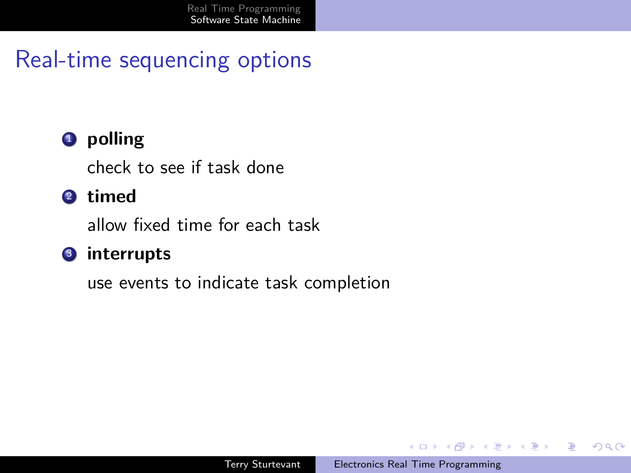### **1** polling

check to see if task done

### <sup>2</sup> **timed**

allow fixed time for each task

#### <sup>3</sup> **interrupts**

use events to indicate task completion

4 17 18

イ押 トイヨ トイヨト

э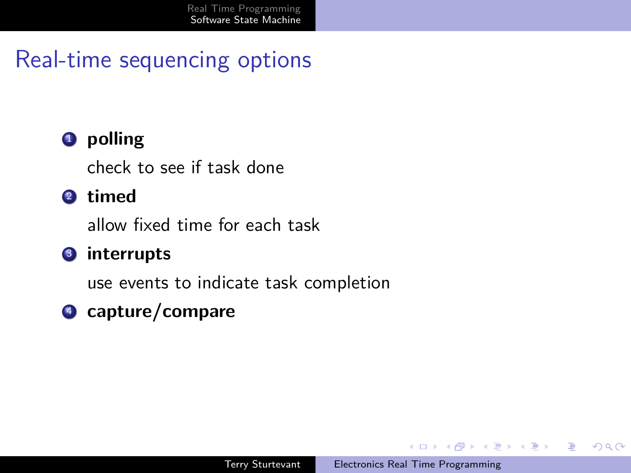### **1** polling

check to see if task done

### <sup>2</sup> **timed**

allow fixed time for each task

### <sup>3</sup> **interrupts**

use events to indicate task completion

## <sup>4</sup> **capture/compare**

4 17 18

イ押 トイヨ トイヨト

э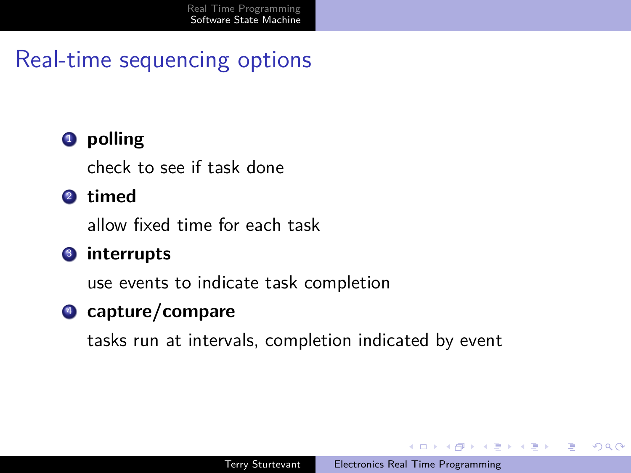## **4** polling

check to see if task done

### <sup>2</sup> **timed**

allow fixed time for each task

### <sup>3</sup> **interrupts**

use events to indicate task completion

## <sup>4</sup> **capture/compare**

tasks run at intervals, completion indicated by event

and the first

メラトメミトメミト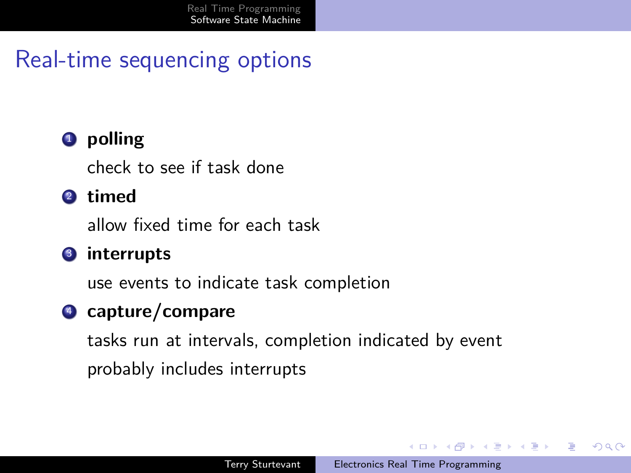### **4** polling

check to see if task done

### <sup>2</sup> **timed**

allow fixed time for each task

#### <sup>3</sup> **interrupts**

use events to indicate task completion

## <sup>4</sup> **capture/compare**

tasks run at intervals, completion indicated by event probably includes interrupts

イ押 トイヨ トイヨト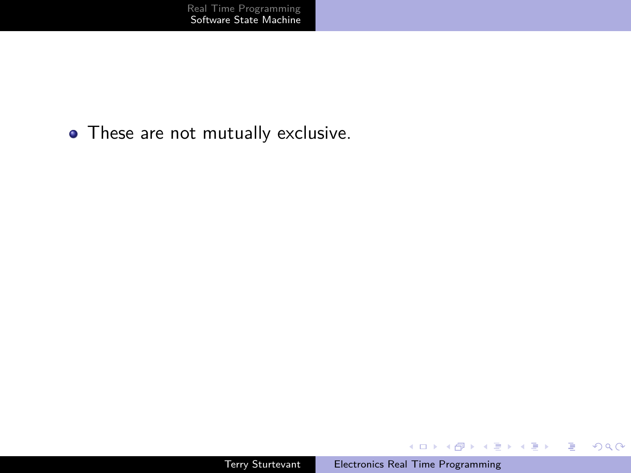• These are not mutually exclusive.

イロメ イ団メ イミメ イモメー

目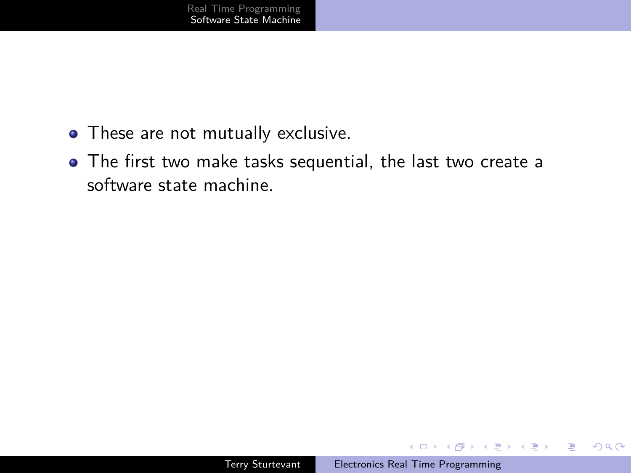- These are not mutually exclusive.
- The first two make tasks sequential, the last two create a software state machine.

 $\equiv$ 

 $QQ$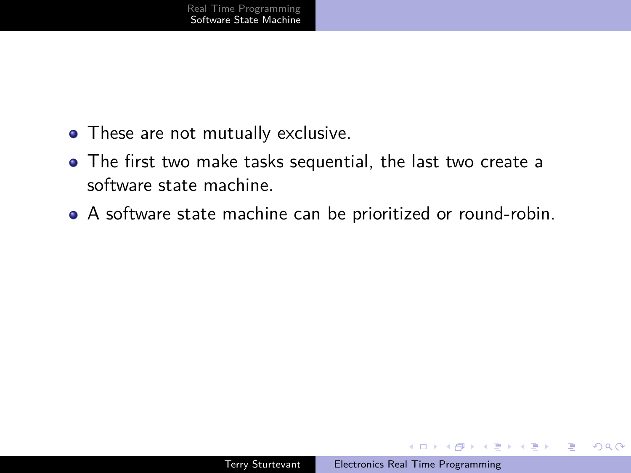- These are not mutually exclusive.
- The first two make tasks sequential, the last two create a software state machine.
- A software state machine can be prioritized or round-robin.

 $2990$ 

∍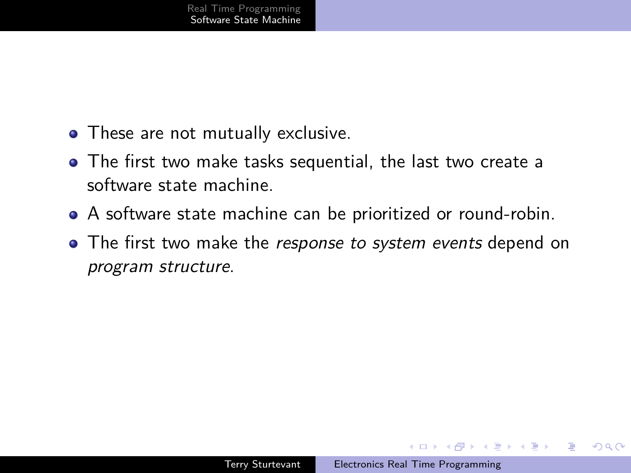- These are not mutually exclusive.
- The first two make tasks sequential, the last two create a software state machine.
- A software state machine can be prioritized or round-robin.
- **•** The first two make the *response to system events* depend on program structure.

性